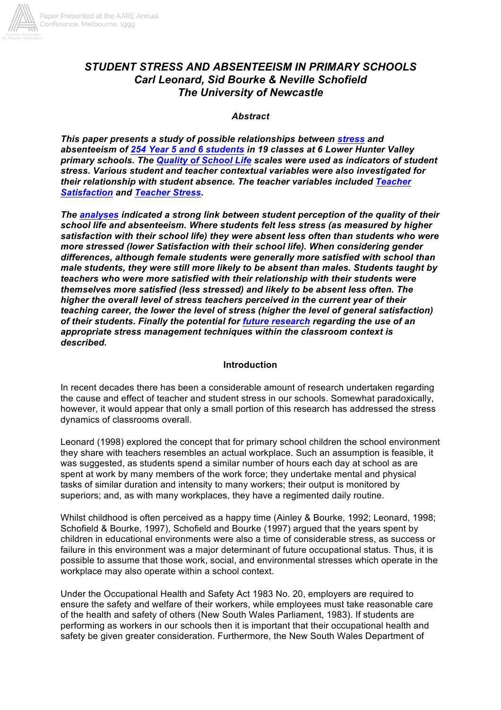

# *STUDENT STRESS AND ABSENTEEISM IN PRIMARY SCHOOLS Carl Leonard, Sid Bourke & Neville Schofield The University of Newcastle*

#### *Abstract*

*This paper presents a study of possible relationships between stress and absenteeism of 254 Year 5 and 6 students in 19 classes at 6 Lower Hunter Valley primary schools. The Quality of School Life scales were used as indicators of student stress. Various student and teacher contextual variables were also investigated for their relationship with student absence. The teacher variables included Teacher Satisfaction and Teacher Stress.*

*The analyses indicated a strong link between student perception of the quality of their school life and absenteeism. Where students felt less stress (as measured by higher satisfaction with their school life) they were absent less often than students who were more stressed (lower Satisfaction with their school life). When considering gender differences, although female students were generally more satisfied with school than male students, they were still more likely to be absent than males. Students taught by teachers who were more satisfied with their relationship with their students were themselves more satisfied (less stressed) and likely to be absent less often. The higher the overall level of stress teachers perceived in the current year of their teaching career, the lower the level of stress (higher the level of general satisfaction) of their students. Finally the potential for future research regarding the use of an appropriate stress management techniques within the classroom context is described.*

#### **Introduction**

In recent decades there has been a considerable amount of research undertaken regarding the cause and effect of teacher and student stress in our schools. Somewhat paradoxically, however, it would appear that only a small portion of this research has addressed the stress dynamics of classrooms overall.

Leonard (1998) explored the concept that for primary school children the school environment they share with teachers resembles an actual workplace. Such an assumption is feasible, it was suggested, as students spend a similar number of hours each day at school as are spent at work by many members of the work force; they undertake mental and physical tasks of similar duration and intensity to many workers; their output is monitored by superiors; and, as with many workplaces, they have a regimented daily routine.

Whilst childhood is often perceived as a happy time (Ainley & Bourke, 1992; Leonard, 1998; Schofield & Bourke, 1997), Schofield and Bourke (1997) argued that the years spent by children in educational environments were also a time of considerable stress, as success or failure in this environment was a major determinant of future occupational status. Thus, it is possible to assume that those work, social, and environmental stresses which operate in the workplace may also operate within a school context.

Under the Occupational Health and Safety Act 1983 No. 20, employers are required to ensure the safety and welfare of their workers, while employees must take reasonable care of the health and safety of others (New South Wales Parliament, 1983). If students are performing as workers in our schools then it is important that their occupational health and safety be given greater consideration. Furthermore, the New South Wales Department of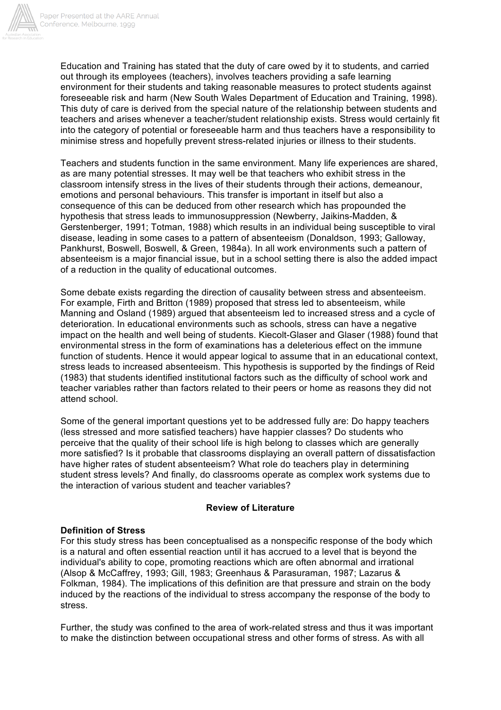

Education and Training has stated that the duty of care owed by it to students, and carried out through its employees (teachers), involves teachers providing a safe learning environment for their students and taking reasonable measures to protect students against foreseeable risk and harm (New South Wales Department of Education and Training, 1998). This duty of care is derived from the special nature of the relationship between students and teachers and arises whenever a teacher/student relationship exists. Stress would certainly fit into the category of potential or foreseeable harm and thus teachers have a responsibility to minimise stress and hopefully prevent stress-related injuries or illness to their students.

Teachers and students function in the same environment. Many life experiences are shared, as are many potential stresses. It may well be that teachers who exhibit stress in the classroom intensify stress in the lives of their students through their actions, demeanour, emotions and personal behaviours. This transfer is important in itself but also a consequence of this can be deduced from other research which has propounded the hypothesis that stress leads to immunosuppression (Newberry, Jaikins-Madden, & Gerstenberger, 1991; Totman, 1988) which results in an individual being susceptible to viral disease, leading in some cases to a pattern of absenteeism (Donaldson, 1993; Galloway, Pankhurst, Boswell, Boswell, & Green, 1984a). In all work environments such a pattern of absenteeism is a major financial issue, but in a school setting there is also the added impact of a reduction in the quality of educational outcomes.

Some debate exists regarding the direction of causality between stress and absenteeism. For example, Firth and Britton (1989) proposed that stress led to absenteeism, while Manning and Osland (1989) argued that absenteeism led to increased stress and a cycle of deterioration. In educational environments such as schools, stress can have a negative impact on the health and well being of students. Kiecolt-Glaser and Glaser (1988) found that environmental stress in the form of examinations has a deleterious effect on the immune function of students. Hence it would appear logical to assume that in an educational context. stress leads to increased absenteeism. This hypothesis is supported by the findings of Reid (1983) that students identified institutional factors such as the difficulty of school work and teacher variables rather than factors related to their peers or home as reasons they did not attend school.

Some of the general important questions yet to be addressed fully are: Do happy teachers (less stressed and more satisfied teachers) have happier classes? Do students who perceive that the quality of their school life is high belong to classes which are generally more satisfied? Is it probable that classrooms displaying an overall pattern of dissatisfaction have higher rates of student absenteeism? What role do teachers play in determining student stress levels? And finally, do classrooms operate as complex work systems due to the interaction of various student and teacher variables?

## **Review of Literature**

## **Definition of Stress**

For this study stress has been conceptualised as a nonspecific response of the body which is a natural and often essential reaction until it has accrued to a level that is beyond the individual's ability to cope, promoting reactions which are often abnormal and irrational (Alsop & McCaffrey, 1993; Gill, 1983; Greenhaus & Parasuraman, 1987; Lazarus & Folkman, 1984). The implications of this definition are that pressure and strain on the body induced by the reactions of the individual to stress accompany the response of the body to stress.

Further, the study was confined to the area of work-related stress and thus it was important to make the distinction between occupational stress and other forms of stress. As with all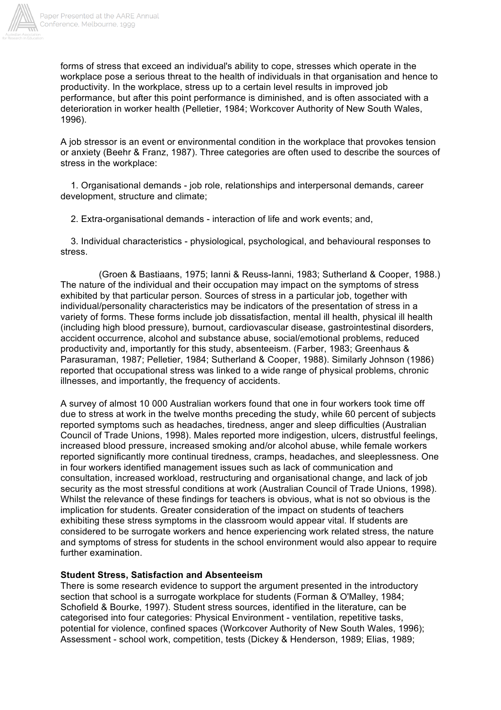

forms of stress that exceed an individual's ability to cope, stresses which operate in the workplace pose a serious threat to the health of individuals in that organisation and hence to productivity. In the workplace, stress up to a certain level results in improved job performance, but after this point performance is diminished, and is often associated with a deterioration in worker health (Pelletier, 1984; Workcover Authority of New South Wales, 1996).

A job stressor is an event or environmental condition in the workplace that provokes tension or anxiety (Beehr & Franz, 1987). Three categories are often used to describe the sources of stress in the workplace:

1. Organisational demands - job role, relationships and interpersonal demands, career development, structure and climate;

2. Extra-organisational demands - interaction of life and work events; and,

3. Individual characteristics - physiological, psychological, and behavioural responses to stress.

(Groen & Bastiaans, 1975; Ianni & Reuss-Ianni, 1983; Sutherland & Cooper, 1988.) The nature of the individual and their occupation may impact on the symptoms of stress exhibited by that particular person. Sources of stress in a particular job, together with individual/personality characteristics may be indicators of the presentation of stress in a variety of forms. These forms include job dissatisfaction, mental ill health, physical ill health (including high blood pressure), burnout, cardiovascular disease, gastrointestinal disorders, accident occurrence, alcohol and substance abuse, social/emotional problems, reduced productivity and, importantly for this study, absenteeism. (Farber, 1983; Greenhaus & Parasuraman, 1987; Pelletier, 1984; Sutherland & Cooper, 1988). Similarly Johnson (1986) reported that occupational stress was linked to a wide range of physical problems, chronic illnesses, and importantly, the frequency of accidents.

A survey of almost 10 000 Australian workers found that one in four workers took time off due to stress at work in the twelve months preceding the study, while 60 percent of subjects reported symptoms such as headaches, tiredness, anger and sleep difficulties (Australian Council of Trade Unions, 1998). Males reported more indigestion, ulcers, distrustful feelings, increased blood pressure, increased smoking and/or alcohol abuse, while female workers reported significantly more continual tiredness, cramps, headaches, and sleeplessness. One in four workers identified management issues such as lack of communication and consultation, increased workload, restructuring and organisational change, and lack of job security as the most stressful conditions at work (Australian Council of Trade Unions, 1998). Whilst the relevance of these findings for teachers is obvious, what is not so obvious is the implication for students. Greater consideration of the impact on students of teachers exhibiting these stress symptoms in the classroom would appear vital. If students are considered to be surrogate workers and hence experiencing work related stress, the nature and symptoms of stress for students in the school environment would also appear to require further examination.

## **Student Stress, Satisfaction and Absenteeism**

There is some research evidence to support the argument presented in the introductory section that school is a surrogate workplace for students (Forman & O'Malley, 1984; Schofield & Bourke, 1997). Student stress sources, identified in the literature, can be categorised into four categories: Physical Environment - ventilation, repetitive tasks, potential for violence, confined spaces (Workcover Authority of New South Wales, 1996); Assessment - school work, competition, tests (Dickey & Henderson, 1989; Elias, 1989;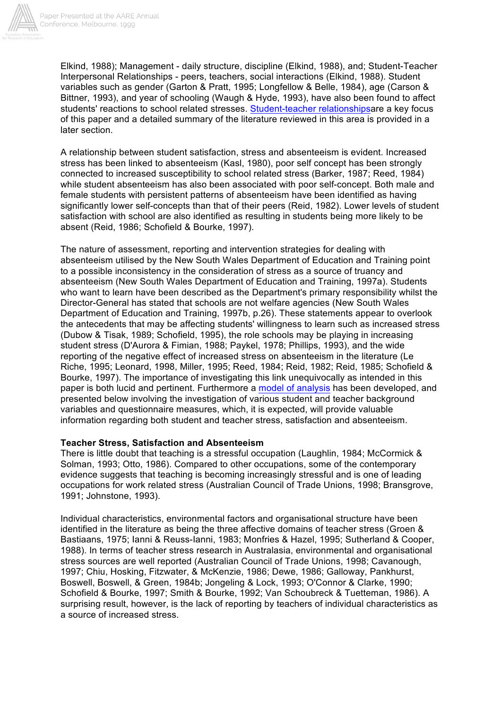

Elkind, 1988); Management - daily structure, discipline (Elkind, 1988), and; Student-Teacher Interpersonal Relationships - peers, teachers, social interactions (Elkind, 1988). Student variables such as gender (Garton & Pratt, 1995; Longfellow & Belle, 1984), age (Carson & Bittner, 1993), and year of schooling (Waugh & Hyde, 1993), have also been found to affect students' reactions to school related stresses. Student-teacher relationshipsare a key focus of this paper and a detailed summary of the literature reviewed in this area is provided in a later section.

A relationship between student satisfaction, stress and absenteeism is evident. Increased stress has been linked to absenteeism (Kasl, 1980), poor self concept has been strongly connected to increased susceptibility to school related stress (Barker, 1987; Reed, 1984) while student absenteeism has also been associated with poor self-concept. Both male and female students with persistent patterns of absenteeism have been identified as having significantly lower self-concepts than that of their peers (Reid, 1982). Lower levels of student satisfaction with school are also identified as resulting in students being more likely to be absent (Reid, 1986; Schofield & Bourke, 1997).

The nature of assessment, reporting and intervention strategies for dealing with absenteeism utilised by the New South Wales Department of Education and Training point to a possible inconsistency in the consideration of stress as a source of truancy and absenteeism (New South Wales Department of Education and Training, 1997a). Students who want to learn have been described as the Department's primary responsibility whilst the Director-General has stated that schools are not welfare agencies (New South Wales Department of Education and Training, 1997b, p.26). These statements appear to overlook the antecedents that may be affecting students' willingness to learn such as increased stress (Dubow & Tisak, 1989; Schofield, 1995), the role schools may be playing in increasing student stress (D'Aurora & Fimian, 1988; Paykel, 1978; Phillips, 1993), and the wide reporting of the negative effect of increased stress on absenteeism in the literature (Le Riche, 1995; Leonard, 1998, Miller, 1995; Reed, 1984; Reid, 1982; Reid, 1985; Schofield & Bourke, 1997). The importance of investigating this link unequivocally as intended in this paper is both lucid and pertinent. Furthermore a model of analysis has been developed, and presented below involving the investigation of various student and teacher background variables and questionnaire measures, which, it is expected, will provide valuable information regarding both student and teacher stress, satisfaction and absenteeism.

## **Teacher Stress, Satisfaction and Absenteeism**

There is little doubt that teaching is a stressful occupation (Laughlin, 1984; McCormick & Solman, 1993; Otto, 1986). Compared to other occupations, some of the contemporary evidence suggests that teaching is becoming increasingly stressful and is one of leading occupations for work related stress (Australian Council of Trade Unions, 1998; Bransgrove, 1991; Johnstone, 1993).

Individual characteristics, environmental factors and organisational structure have been identified in the literature as being the three affective domains of teacher stress (Groen & Bastiaans, 1975; Ianni & Reuss-Ianni, 1983; Monfries & Hazel, 1995; Sutherland & Cooper, 1988). In terms of teacher stress research in Australasia, environmental and organisational stress sources are well reported (Australian Council of Trade Unions, 1998; Cavanough, 1997; Chiu, Hosking, Fitzwater, & McKenzie, 1986; Dewe, 1986; Galloway, Pankhurst, Boswell, Boswell, & Green, 1984b; Jongeling & Lock, 1993; O'Connor & Clarke, 1990; Schofield & Bourke, 1997; Smith & Bourke, 1992; Van Schoubreck & Tuetteman, 1986). A surprising result, however, is the lack of reporting by teachers of individual characteristics as a source of increased stress.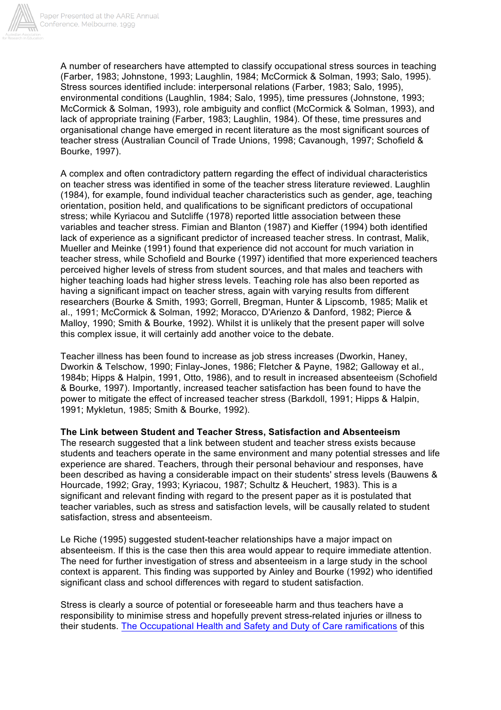

A number of researchers have attempted to classify occupational stress sources in teaching (Farber, 1983; Johnstone, 1993; Laughlin, 1984; McCormick & Solman, 1993; Salo, 1995). Stress sources identified include: interpersonal relations (Farber, 1983; Salo, 1995), environmental conditions (Laughlin, 1984; Salo, 1995), time pressures (Johnstone, 1993; McCormick & Solman, 1993), role ambiguity and conflict (McCormick & Solman, 1993), and lack of appropriate training (Farber, 1983; Laughlin, 1984). Of these, time pressures and organisational change have emerged in recent literature as the most significant sources of teacher stress (Australian Council of Trade Unions, 1998; Cavanough, 1997; Schofield & Bourke, 1997).

A complex and often contradictory pattern regarding the effect of individual characteristics on teacher stress was identified in some of the teacher stress literature reviewed. Laughlin (1984), for example, found individual teacher characteristics such as gender, age, teaching orientation, position held, and qualifications to be significant predictors of occupational stress; while Kyriacou and Sutcliffe (1978) reported little association between these variables and teacher stress. Fimian and Blanton (1987) and Kieffer (1994) both identified lack of experience as a significant predictor of increased teacher stress. In contrast, Malik, Mueller and Meinke (1991) found that experience did not account for much variation in teacher stress, while Schofield and Bourke (1997) identified that more experienced teachers perceived higher levels of stress from student sources, and that males and teachers with higher teaching loads had higher stress levels. Teaching role has also been reported as having a significant impact on teacher stress, again with varying results from different researchers (Bourke & Smith, 1993; Gorrell, Bregman, Hunter & Lipscomb, 1985; Malik et al., 1991; McCormick & Solman, 1992; Moracco, D'Arienzo & Danford, 1982; Pierce & Malloy, 1990; Smith & Bourke, 1992). Whilst it is unlikely that the present paper will solve this complex issue, it will certainly add another voice to the debate.

Teacher illness has been found to increase as job stress increases (Dworkin, Haney, Dworkin & Telschow, 1990; Finlay-Jones, 1986; Fletcher & Payne, 1982; Galloway et al., 1984b; Hipps & Halpin, 1991, Otto, 1986), and to result in increased absenteeism (Schofield & Bourke, 1997). Importantly, increased teacher satisfaction has been found to have the power to mitigate the effect of increased teacher stress (Barkdoll, 1991; Hipps & Halpin, 1991; Mykletun, 1985; Smith & Bourke, 1992).

**The Link between Student and Teacher Stress, Satisfaction and Absenteeism**

The research suggested that a link between student and teacher stress exists because students and teachers operate in the same environment and many potential stresses and life experience are shared. Teachers, through their personal behaviour and responses, have been described as having a considerable impact on their students' stress levels (Bauwens & Hourcade, 1992; Gray, 1993; Kyriacou, 1987; Schultz & Heuchert, 1983). This is a significant and relevant finding with regard to the present paper as it is postulated that teacher variables, such as stress and satisfaction levels, will be causally related to student satisfaction, stress and absenteeism.

Le Riche (1995) suggested student-teacher relationships have a major impact on absenteeism. If this is the case then this area would appear to require immediate attention. The need for further investigation of stress and absenteeism in a large study in the school context is apparent. This finding was supported by Ainley and Bourke (1992) who identified significant class and school differences with regard to student satisfaction.

Stress is clearly a source of potential or foreseeable harm and thus teachers have a responsibility to minimise stress and hopefully prevent stress-related injuries or illness to their students. The Occupational Health and Safety and Duty of Care ramifications of this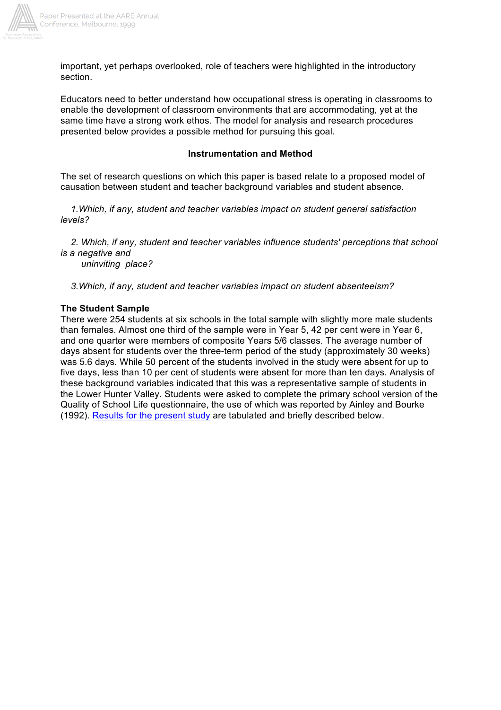

important, yet perhaps overlooked, role of teachers were highlighted in the introductory section.

Educators need to better understand how occupational stress is operating in classrooms to enable the development of classroom environments that are accommodating, yet at the same time have a strong work ethos. The model for analysis and research procedures presented below provides a possible method for pursuing this goal.

#### **Instrumentation and Method**

The set of research questions on which this paper is based relate to a proposed model of causation between student and teacher background variables and student absence.

*1.Which, if any, student and teacher variables impact on student general satisfaction levels?*

*2. Which, if any, student and teacher variables influence students' perceptions that school is a negative and*

*uninviting place?*

*3.Which, if any, student and teacher variables impact on student absenteeism?*

#### **The Student Sample**

There were 254 students at six schools in the total sample with slightly more male students than females. Almost one third of the sample were in Year 5, 42 per cent were in Year 6, and one quarter were members of composite Years 5/6 classes. The average number of days absent for students over the three-term period of the study (approximately 30 weeks) was 5.6 days. While 50 percent of the students involved in the study were absent for up to five days, less than 10 per cent of students were absent for more than ten days. Analysis of these background variables indicated that this was a representative sample of students in the Lower Hunter Valley. Students were asked to complete the primary school version of the Quality of School Life questionnaire, the use of which was reported by Ainley and Bourke (1992). Results for the present study are tabulated and briefly described below.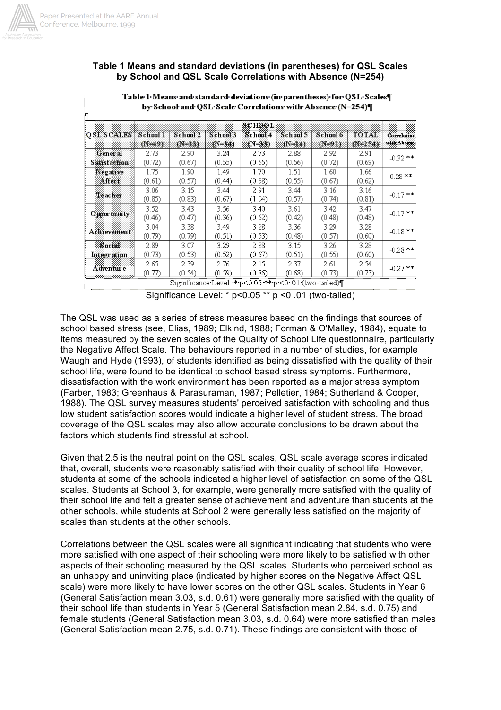

#### **Table 1 Means and standard deviations (in parentheses) for QSL Scales by School and QSL Scale Correlations with Absence (N=254)**

|                            |                |                      |                      | зсноот               |                      |                      |                      |                             |
|----------------------------|----------------|----------------------|----------------------|----------------------|----------------------|----------------------|----------------------|-----------------------------|
| <b>OSL SCALES</b> School 1 | $(N=49)$       | School 2<br>$(N-33)$ | School 3<br>$(N-34)$ | School 4<br>$(N=33)$ | School 5<br>$(N=14)$ | School 6<br>$(N-91)$ | TOTAL<br>$(N - 254)$ | Correlation<br>with Absence |
| General<br>Sahsfachun      | 2.73<br>(0.72) | 2.90<br>(0.67)       | 3.24<br>(0.55)       | 2.73<br>(0.65)       | 2.88<br>(0.56)       | 2.92<br>(0.72)       | 2.91<br>(0.69)       | $-0.32$ **                  |
| Negative<br>Affect         | 1.75<br>(0.61) | 1.90<br>(0.57)       | 1.49<br>(0.44)       | 1.70<br>(0.68)       | 1.51<br>(0.55)       | 1.60<br>(0.67)       | 1.66<br>(0.62)       | $0.28$ **                   |
| Teacher                    | 3.06<br>(0.85) | 3.15<br>(0.83)       | 3.44<br>(0.67)       | 2.91<br>(1.04)       | 3.44<br>(0.57)       | 3.16<br>(0.74)       | 3.16<br>(0.81)       | $-0.17$ **                  |
| <b>Opportunity</b>         | 3.52<br>(0.46) | 3.43<br>(0.47)       | 3.56<br>(0.36)       | 3.40<br>(0.62)       | 3.61<br>(0.42)       | 3.42<br>(0.48)       | 3.47<br>(0.48)       | $-0.17$ **                  |
| Achievement                | 3.04<br>(0.79) | 3.38<br>(0.79)       | 3.49<br>(0.51)       | 3.28<br>(0.53)       | 3.36<br>(0.48)       | 3.29<br>(0.57)       | 3.28<br>(0.60)       | $-0.18$ **                  |
| Social<br>Integration      | 2.89<br>(0.73) | 3.07<br>(0.53)       | 3.29<br>(0.52)       | 2.88<br>(0.67)       | 3.15<br>(0.51)       | 3.26<br>(0.55)       | 3.28<br>(0.60)       | $-0.28$ **                  |
| Adventur e                 | 2.65<br>(0.77) | 2.39<br>(0.54)       | 2.76<br>(0.59)       | 2.15<br>(0.86)       | 2.37<br>(0.68)       | 2.61<br>(0.73)       | 2.54<br>(0.73)       | $-0.27$ **                  |

Table 1. Means. and standard deviations (in parentheses) for QSL. Scales¶ by School and QSL Scale Correlations with Absence (N=254)¶

Significance Level:  $*$  p < 0.05  $**$  p < 0.01 (two-tailed)

The QSL was used as a series of stress measures based on the findings that sources of school based stress (see, Elias, 1989; Elkind, 1988; Forman & O'Malley, 1984), equate to items measured by the seven scales of the Quality of School Life questionnaire, particularly the Negative Affect Scale. The behaviours reported in a number of studies, for example Waugh and Hyde (1993), of students identified as being dissatisfied with the quality of their school life, were found to be identical to school based stress symptoms. Furthermore, dissatisfaction with the work environment has been reported as a major stress symptom (Farber, 1983; Greenhaus & Parasuraman, 1987; Pelletier, 1984; Sutherland & Cooper, 1988). The QSL survey measures students' perceived satisfaction with schooling and thus low student satisfaction scores would indicate a higher level of student stress. The broad coverage of the QSL scales may also allow accurate conclusions to be drawn about the factors which students find stressful at school.

Given that 2.5 is the neutral point on the QSL scales, QSL scale average scores indicated that, overall, students were reasonably satisfied with their quality of school life. However, students at some of the schools indicated a higher level of satisfaction on some of the QSL scales. Students at School 3, for example, were generally more satisfied with the quality of their school life and felt a greater sense of achievement and adventure than students at the other schools, while students at School 2 were generally less satisfied on the majority of scales than students at the other schools.

Correlations between the QSL scales were all significant indicating that students who were more satisfied with one aspect of their schooling were more likely to be satisfied with other aspects of their schooling measured by the QSL scales. Students who perceived school as an unhappy and uninviting place (indicated by higher scores on the Negative Affect QSL scale) were more likely to have lower scores on the other QSL scales. Students in Year 6 (General Satisfaction mean 3.03, s.d. 0.61) were generally more satisfied with the quality of their school life than students in Year 5 (General Satisfaction mean 2.84, s.d. 0.75) and female students (General Satisfaction mean 3.03, s.d. 0.64) were more satisfied than males (General Satisfaction mean 2.75, s.d. 0.71). These findings are consistent with those of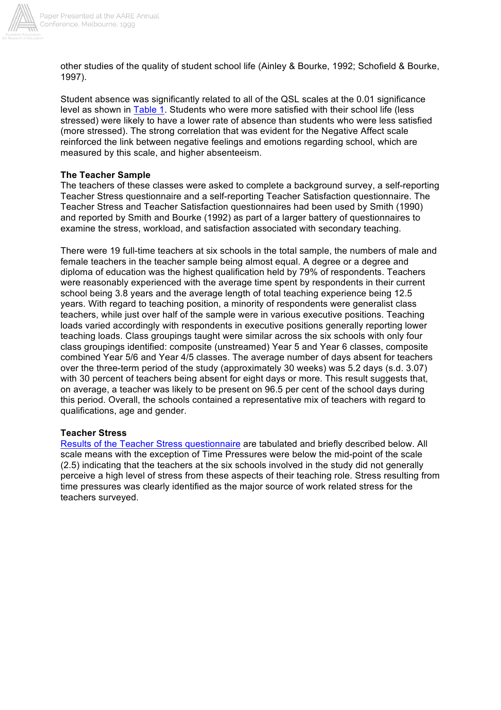

other studies of the quality of student school life (Ainley & Bourke, 1992; Schofield & Bourke, 1997).

Student absence was significantly related to all of the QSL scales at the 0.01 significance level as shown in Table 1. Students who were more satisfied with their school life (less stressed) were likely to have a lower rate of absence than students who were less satisfied (more stressed). The strong correlation that was evident for the Negative Affect scale reinforced the link between negative feelings and emotions regarding school, which are measured by this scale, and higher absenteeism.

## **The Teacher Sample**

The teachers of these classes were asked to complete a background survey, a self-reporting Teacher Stress questionnaire and a self-reporting Teacher Satisfaction questionnaire. The Teacher Stress and Teacher Satisfaction questionnaires had been used by Smith (1990) and reported by Smith and Bourke (1992) as part of a larger battery of questionnaires to examine the stress, workload, and satisfaction associated with secondary teaching.

There were 19 full-time teachers at six schools in the total sample, the numbers of male and female teachers in the teacher sample being almost equal. A degree or a degree and diploma of education was the highest qualification held by 79% of respondents. Teachers were reasonably experienced with the average time spent by respondents in their current school being 3.8 years and the average length of total teaching experience being 12.5 years. With regard to teaching position, a minority of respondents were generalist class teachers, while just over half of the sample were in various executive positions. Teaching loads varied accordingly with respondents in executive positions generally reporting lower teaching loads. Class groupings taught were similar across the six schools with only four class groupings identified: composite (unstreamed) Year 5 and Year 6 classes, composite combined Year 5/6 and Year 4/5 classes. The average number of days absent for teachers over the three-term period of the study (approximately 30 weeks) was 5.2 days (s.d. 3.07) with 30 percent of teachers being absent for eight days or more. This result suggests that, on average, a teacher was likely to be present on 96.5 per cent of the school days during this period. Overall, the schools contained a representative mix of teachers with regard to qualifications, age and gender.

## **Teacher Stress**

Results of the Teacher Stress questionnaire are tabulated and briefly described below. All scale means with the exception of Time Pressures were below the mid-point of the scale (2.5) indicating that the teachers at the six schools involved in the study did not generally perceive a high level of stress from these aspects of their teaching role. Stress resulting from time pressures was clearly identified as the major source of work related stress for the teachers surveyed.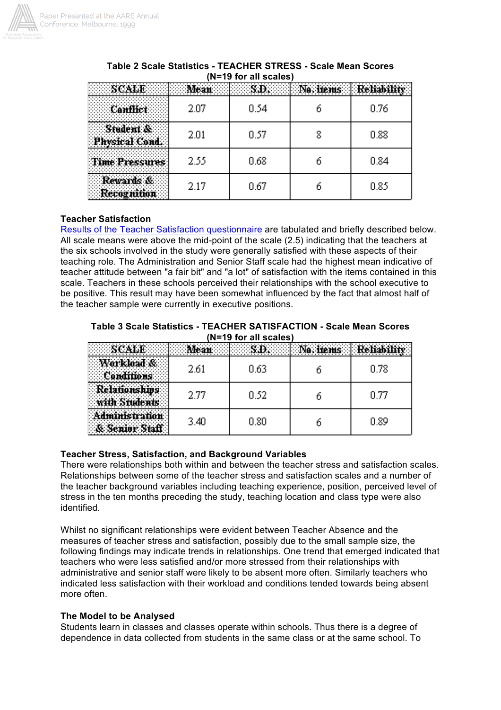

|        |      |      |  | . . <del>.</del> |  |
|--------|------|------|--|------------------|--|
| .<br>. | 2.07 | 0.54 |  | 0.76             |  |
| .      | 2.01 | 0.57 |  | 0.88             |  |
| .      | 2.55 | 0.68 |  | 0.84             |  |
| .<br>. | 2.17 | 0.67 |  | 0.85             |  |

## **Table 2 Scale Statistics - TEACHER STRESS - Scale Mean Scores (N=19 for all scales)**

## **Teacher Satisfaction**

Results of the Teacher Satisfaction questionnaire are tabulated and briefly described below. All scale means were above the mid-point of the scale (2.5) indicating that the teachers at the six schools involved in the study were generally satisfied with these aspects of their teaching role. The Administration and Senior Staff scale had the highest mean indicative of teacher attitude between "a fair bit" and "a lot" of satisfaction with the items contained in this scale. Teachers in these schools perceived their relationships with the school executive to be positive. This result may have been somewhat influenced by the fact that almost half of the teacher sample were currently in executive positions.

|                       | Table 3 Scale Statistics - TEACHER SATISFACTION - Scale Mean Scores |
|-----------------------|---------------------------------------------------------------------|
| (N=19 for all scales) |                                                                     |

| 2.61 | 0.63 | 0.78 |
|------|------|------|
| 2.77 | 0.52 | 0.77 |
| 3.40 | 0.80 | 0.89 |

## **Teacher Stress, Satisfaction, and Background Variables**

There were relationships both within and between the teacher stress and satisfaction scales. Relationships between some of the teacher stress and satisfaction scales and a number of the teacher background variables including teaching experience, position, perceived level of stress in the ten months preceding the study, teaching location and class type were also identified.

Whilst no significant relationships were evident between Teacher Absence and the measures of teacher stress and satisfaction, possibly due to the small sample size, the following findings may indicate trends in relationships. One trend that emerged indicated that teachers who were less satisfied and/or more stressed from their relationships with administrative and senior staff were likely to be absent more often. Similarly teachers who indicated less satisfaction with their workload and conditions tended towards being absent more often.

#### **The Model to be Analysed**

Students learn in classes and classes operate within schools. Thus there is a degree of dependence in data collected from students in the same class or at the same school. To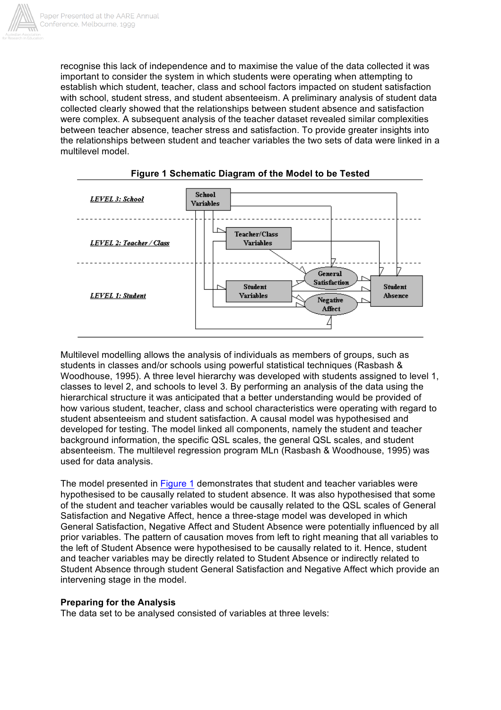

recognise this lack of independence and to maximise the value of the data collected it was important to consider the system in which students were operating when attempting to establish which student, teacher, class and school factors impacted on student satisfaction with school, student stress, and student absenteeism. A preliminary analysis of student data collected clearly showed that the relationships between student absence and satisfaction were complex. A subsequent analysis of the teacher dataset revealed similar complexities between teacher absence, teacher stress and satisfaction. To provide greater insights into the relationships between student and teacher variables the two sets of data were linked in a multilevel model.





Multilevel modelling allows the analysis of individuals as members of groups, such as students in classes and/or schools using powerful statistical techniques (Rasbash & Woodhouse, 1995). A three level hierarchy was developed with students assigned to level 1, classes to level 2, and schools to level 3. By performing an analysis of the data using the hierarchical structure it was anticipated that a better understanding would be provided of how various student, teacher, class and school characteristics were operating with regard to student absenteeism and student satisfaction. A causal model was hypothesised and developed for testing. The model linked all components, namely the student and teacher background information, the specific QSL scales, the general QSL scales, and student absenteeism. The multilevel regression program MLn (Rasbash & Woodhouse, 1995) was used for data analysis.

The model presented in Figure 1 demonstrates that student and teacher variables were hypothesised to be causally related to student absence. It was also hypothesised that some of the student and teacher variables would be causally related to the QSL scales of General Satisfaction and Negative Affect, hence a three-stage model was developed in which General Satisfaction, Negative Affect and Student Absence were potentially influenced by all prior variables. The pattern of causation moves from left to right meaning that all variables to the left of Student Absence were hypothesised to be causally related to it. Hence, student and teacher variables may be directly related to Student Absence or indirectly related to Student Absence through student General Satisfaction and Negative Affect which provide an intervening stage in the model.

## **Preparing for the Analysis**

The data set to be analysed consisted of variables at three levels: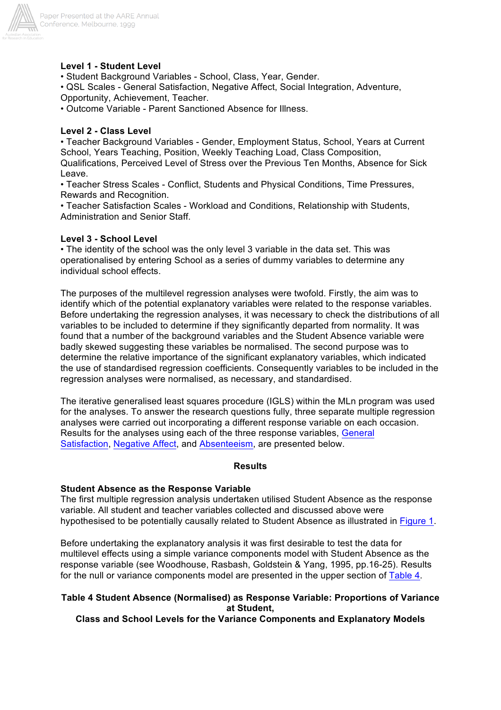

#### **Level 1 - Student Level**

• Student Background Variables - School, Class, Year, Gender.

• QSL Scales - General Satisfaction, Negative Affect, Social Integration, Adventure, Opportunity, Achievement, Teacher.

• Outcome Variable - Parent Sanctioned Absence for Illness.

#### **Level 2 - Class Level**

• Teacher Background Variables - Gender, Employment Status, School, Years at Current School, Years Teaching, Position, Weekly Teaching Load, Class Composition, Qualifications, Perceived Level of Stress over the Previous Ten Months, Absence for Sick Leave.

• Teacher Stress Scales - Conflict, Students and Physical Conditions, Time Pressures, Rewards and Recognition.

• Teacher Satisfaction Scales - Workload and Conditions, Relationship with Students, Administration and Senior Staff.

#### **Level 3 - School Level**

• The identity of the school was the only level 3 variable in the data set. This was operationalised by entering School as a series of dummy variables to determine any individual school effects.

The purposes of the multilevel regression analyses were twofold. Firstly, the aim was to identify which of the potential explanatory variables were related to the response variables. Before undertaking the regression analyses, it was necessary to check the distributions of all variables to be included to determine if they significantly departed from normality. It was found that a number of the background variables and the Student Absence variable were badly skewed suggesting these variables be normalised. The second purpose was to determine the relative importance of the significant explanatory variables, which indicated the use of standardised regression coefficients. Consequently variables to be included in the regression analyses were normalised, as necessary, and standardised.

The iterative generalised least squares procedure (IGLS) within the MLn program was used for the analyses. To answer the research questions fully, three separate multiple regression analyses were carried out incorporating a different response variable on each occasion. Results for the analyses using each of the three response variables, General Satisfaction, Negative Affect, and Absenteeism, are presented below.

#### **Results**

#### **Student Absence as the Response Variable**

The first multiple regression analysis undertaken utilised Student Absence as the response variable. All student and teacher variables collected and discussed above were hypothesised to be potentially causally related to Student Absence as illustrated in Figure 1.

Before undertaking the explanatory analysis it was first desirable to test the data for multilevel effects using a simple variance components model with Student Absence as the response variable (see Woodhouse, Rasbash, Goldstein & Yang, 1995, pp.16-25). Results for the null or variance components model are presented in the upper section of Table 4.

#### **Table 4 Student Absence (Normalised) as Response Variable: Proportions of Variance at Student,**

**Class and School Levels for the Variance Components and Explanatory Models**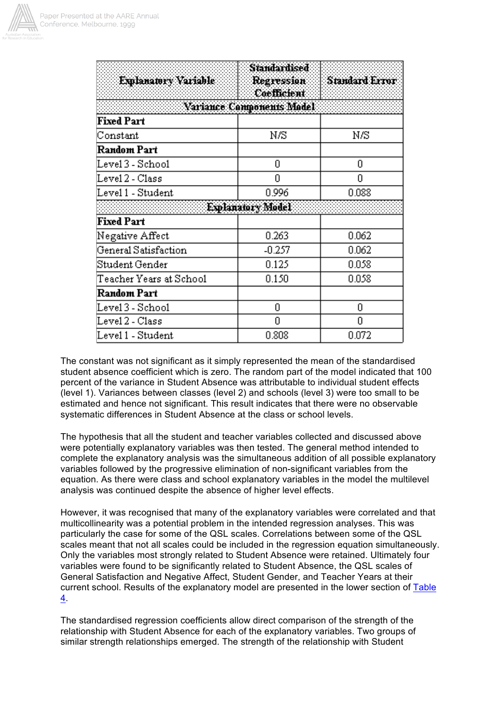

| Explanatory Variable    | <b>Standardised</b><br>Regression<br>Coefficient | Standard Error |  |
|-------------------------|--------------------------------------------------|----------------|--|
|                         | Variance Components Model                        |                |  |
| <b>Fixed Part</b>       |                                                  |                |  |
| Constant                | Νß                                               | Νß             |  |
| Random Part             |                                                  |                |  |
| Level 3 - School        | 0                                                | 0              |  |
| Level 2 - Class         | 0                                                | n              |  |
| Level 1 - Student       | 0.996                                            | 0.088          |  |
|                         | Explanatory Model                                |                |  |
| <b>Fixed Part</b>       |                                                  |                |  |
| Negative Affect         | 0.263                                            | 0.062          |  |
| General Satisfaction    | $-0.257$                                         | 0.062          |  |
| Student Gender          | 0.125                                            | 0.058          |  |
| Teacher Years at School | 0.150                                            | 0.058          |  |
| Random Part             |                                                  |                |  |
| Level 3 - School        | 0                                                | 0              |  |
| Level 2 - Class         | 0                                                | Ω              |  |
| Level 1 - Student       | 0.808                                            | 0.072          |  |

The constant was not significant as it simply represented the mean of the standardised student absence coefficient which is zero. The random part of the model indicated that 100 percent of the variance in Student Absence was attributable to individual student effects (level 1). Variances between classes (level 2) and schools (level 3) were too small to be estimated and hence not significant. This result indicates that there were no observable systematic differences in Student Absence at the class or school levels.

The hypothesis that all the student and teacher variables collected and discussed above were potentially explanatory variables was then tested. The general method intended to complete the explanatory analysis was the simultaneous addition of all possible explanatory variables followed by the progressive elimination of non-significant variables from the equation. As there were class and school explanatory variables in the model the multilevel analysis was continued despite the absence of higher level effects.

However, it was recognised that many of the explanatory variables were correlated and that multicollinearity was a potential problem in the intended regression analyses. This was particularly the case for some of the QSL scales. Correlations between some of the QSL scales meant that not all scales could be included in the regression equation simultaneously. Only the variables most strongly related to Student Absence were retained. Ultimately four variables were found to be significantly related to Student Absence, the QSL scales of General Satisfaction and Negative Affect, Student Gender, and Teacher Years at their current school. Results of the explanatory model are presented in the lower section of Table 4.

The standardised regression coefficients allow direct comparison of the strength of the relationship with Student Absence for each of the explanatory variables. Two groups of similar strength relationships emerged. The strength of the relationship with Student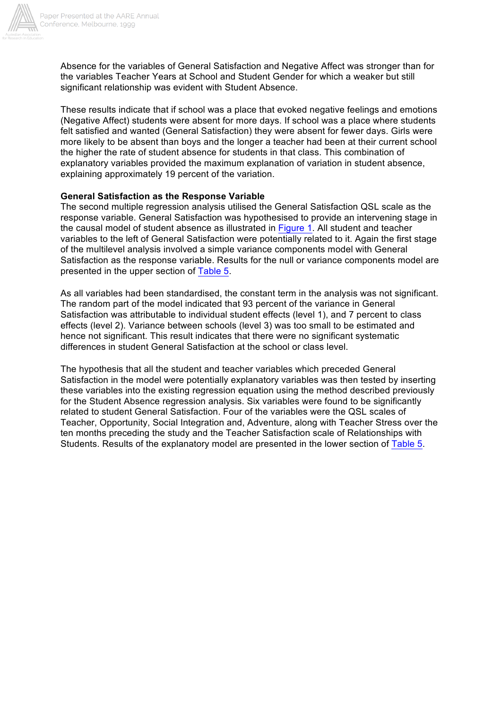

Absence for the variables of General Satisfaction and Negative Affect was stronger than for the variables Teacher Years at School and Student Gender for which a weaker but still significant relationship was evident with Student Absence.

These results indicate that if school was a place that evoked negative feelings and emotions (Negative Affect) students were absent for more days. If school was a place where students felt satisfied and wanted (General Satisfaction) they were absent for fewer days. Girls were more likely to be absent than boys and the longer a teacher had been at their current school the higher the rate of student absence for students in that class. This combination of explanatory variables provided the maximum explanation of variation in student absence, explaining approximately 19 percent of the variation.

#### **General Satisfaction as the Response Variable**

The second multiple regression analysis utilised the General Satisfaction QSL scale as the response variable. General Satisfaction was hypothesised to provide an intervening stage in the causal model of student absence as illustrated in Figure 1. All student and teacher variables to the left of General Satisfaction were potentially related to it. Again the first stage of the multilevel analysis involved a simple variance components model with General Satisfaction as the response variable. Results for the null or variance components model are presented in the upper section of Table 5.

As all variables had been standardised, the constant term in the analysis was not significant. The random part of the model indicated that 93 percent of the variance in General Satisfaction was attributable to individual student effects (level 1), and 7 percent to class effects (level 2). Variance between schools (level 3) was too small to be estimated and hence not significant. This result indicates that there were no significant systematic differences in student General Satisfaction at the school or class level.

The hypothesis that all the student and teacher variables which preceded General Satisfaction in the model were potentially explanatory variables was then tested by inserting these variables into the existing regression equation using the method described previously for the Student Absence regression analysis. Six variables were found to be significantly related to student General Satisfaction. Four of the variables were the QSL scales of Teacher, Opportunity, Social Integration and, Adventure, along with Teacher Stress over the ten months preceding the study and the Teacher Satisfaction scale of Relationships with Students. Results of the explanatory model are presented in the lower section of Table 5.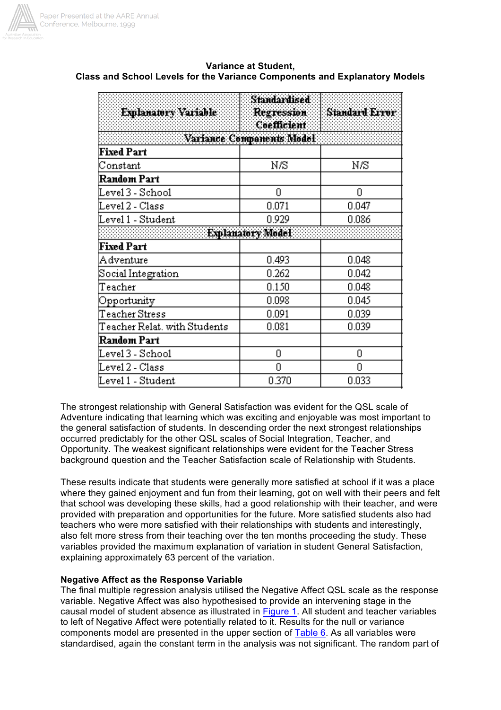

| Explanatory Variable         | Standardised<br>Regression<br>Coefficient | <b>Standard Error</b> |  |
|------------------------------|-------------------------------------------|-----------------------|--|
|                              | Variance Components Model                 |                       |  |
| <b>Fixed Part</b>            |                                           |                       |  |
| Constant                     | Νß                                        | Νß                    |  |
| Random Part                  |                                           |                       |  |
| Level 3 - School             | 0                                         | 0                     |  |
| Level 2 - Class              | 0.071                                     | 0.047                 |  |
| Level 1 - Student            | 0.929                                     | 0.086                 |  |
|                              | Explanatory Model                         |                       |  |
| <b>Fixed Part</b>            |                                           |                       |  |
| Adventure                    | 0.493                                     | 0.048                 |  |
| Social Integration           | 0.262                                     | 0.042                 |  |
| Teacher                      | 0.150                                     | 0.048                 |  |
| Opportunity                  | 0.098                                     | 0.045                 |  |
| Teacher Stress               | 0.091                                     | 0.039                 |  |
| Teacher Relat, with Students | 0.081                                     | 0.039                 |  |
| Random Part                  |                                           |                       |  |
| Level 3 - School             | 0                                         | 0                     |  |
| Level 2 - Class              | 0                                         | Ω                     |  |
| Level 1 - Student            | 0.370                                     | 0.033                 |  |

## **Variance at Student, Class and School Levels for the Variance Components and Explanatory Models**

The strongest relationship with General Satisfaction was evident for the QSL scale of Adventure indicating that learning which was exciting and enjoyable was most important to the general satisfaction of students. In descending order the next strongest relationships occurred predictably for the other QSL scales of Social Integration, Teacher, and Opportunity. The weakest significant relationships were evident for the Teacher Stress background question and the Teacher Satisfaction scale of Relationship with Students.

These results indicate that students were generally more satisfied at school if it was a place where they gained enjoyment and fun from their learning, got on well with their peers and felt that school was developing these skills, had a good relationship with their teacher, and were provided with preparation and opportunities for the future. More satisfied students also had teachers who were more satisfied with their relationships with students and interestingly, also felt more stress from their teaching over the ten months proceeding the study. These variables provided the maximum explanation of variation in student General Satisfaction, explaining approximately 63 percent of the variation.

## **Negative Affect as the Response Variable**

The final multiple regression analysis utilised the Negative Affect QSL scale as the response variable. Negative Affect was also hypothesised to provide an intervening stage in the causal model of student absence as illustrated in Figure 1. All student and teacher variables to left of Negative Affect were potentially related to it. Results for the null or variance components model are presented in the upper section of Table 6. As all variables were standardised, again the constant term in the analysis was not significant. The random part of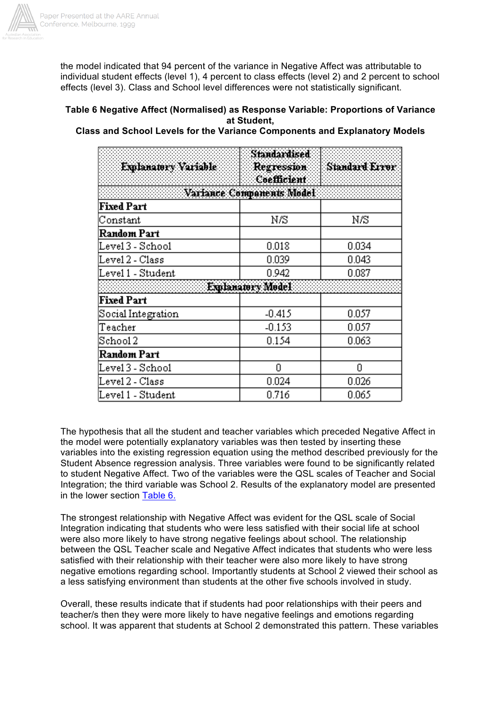

the model indicated that 94 percent of the variance in Negative Affect was attributable to individual student effects (level 1), 4 percent to class effects (level 2) and 2 percent to school effects (level 3). Class and School level differences were not statistically significant.

## **Table 6 Negative Affect (Normalised) as Response Variable: Proportions of Variance at Student,**

## **Class and School Levels for the Variance Components and Explanatory Models**

| Emlanatory Variable     | Standardised<br><b>Regression</b><br>Coefficient | <b>Standard Error</b> |
|-------------------------|--------------------------------------------------|-----------------------|
|                         | Variance Components Model                        |                       |
| <b>Fixed Part</b>       |                                                  |                       |
| Constant                | Νß                                               | Νß                    |
| Random Part             |                                                  |                       |
| Level 3 - School        | 0.018                                            | 0.034                 |
| Level 2 - Class         | 0.039                                            | 0.043                 |
| Level 1 - Student       | 0.942                                            | 0.087                 |
|                         | Explanatory Model                                |                       |
| <b>Fixed Part</b>       |                                                  |                       |
| Social Integration      | $-0.415$                                         | 0.057                 |
| Teacher                 | $-0.153$                                         | 0.057                 |
| $\operatorname{Stool}2$ | 0.154                                            | 0.063                 |
| Random Part             |                                                  |                       |
| Level 3 - School        | Ω                                                | Ο                     |
| Level 2 - Class         | 0.024                                            | 0.026                 |
| Level 1 - Student       | 0.716                                            | 0.065                 |

The hypothesis that all the student and teacher variables which preceded Negative Affect in the model were potentially explanatory variables was then tested by inserting these variables into the existing regression equation using the method described previously for the Student Absence regression analysis. Three variables were found to be significantly related to student Negative Affect. Two of the variables were the QSL scales of Teacher and Social Integration; the third variable was School 2. Results of the explanatory model are presented in the lower section Table 6.

The strongest relationship with Negative Affect was evident for the QSL scale of Social Integration indicating that students who were less satisfied with their social life at school were also more likely to have strong negative feelings about school. The relationship between the QSL Teacher scale and Negative Affect indicates that students who were less satisfied with their relationship with their teacher were also more likely to have strong negative emotions regarding school. Importantly students at School 2 viewed their school as a less satisfying environment than students at the other five schools involved in study.

Overall, these results indicate that if students had poor relationships with their peers and teacher/s then they were more likely to have negative feelings and emotions regarding school. It was apparent that students at School 2 demonstrated this pattern. These variables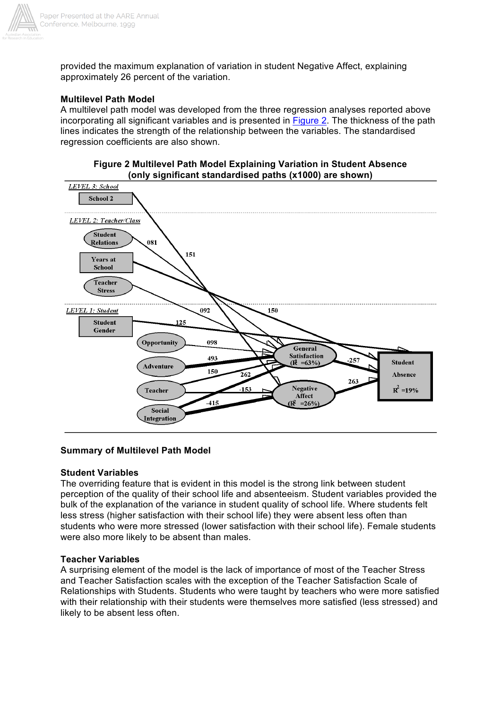

provided the maximum explanation of variation in student Negative Affect, explaining approximately 26 percent of the variation.

## **Multilevel Path Model**

A multilevel path model was developed from the three regression analyses reported above incorporating all significant variables and is presented in Figure 2. The thickness of the path lines indicates the strength of the relationship between the variables. The standardised regression coefficients are also shown.





#### **Summary of Multilevel Path Model**

#### **Student Variables**

The overriding feature that is evident in this model is the strong link between student perception of the quality of their school life and absenteeism. Student variables provided the bulk of the explanation of the variance in student quality of school life. Where students felt less stress (higher satisfaction with their school life) they were absent less often than students who were more stressed (lower satisfaction with their school life). Female students were also more likely to be absent than males.

#### **Teacher Variables**

A surprising element of the model is the lack of importance of most of the Teacher Stress and Teacher Satisfaction scales with the exception of the Teacher Satisfaction Scale of Relationships with Students. Students who were taught by teachers who were more satisfied with their relationship with their students were themselves more satisfied (less stressed) and likely to be absent less often.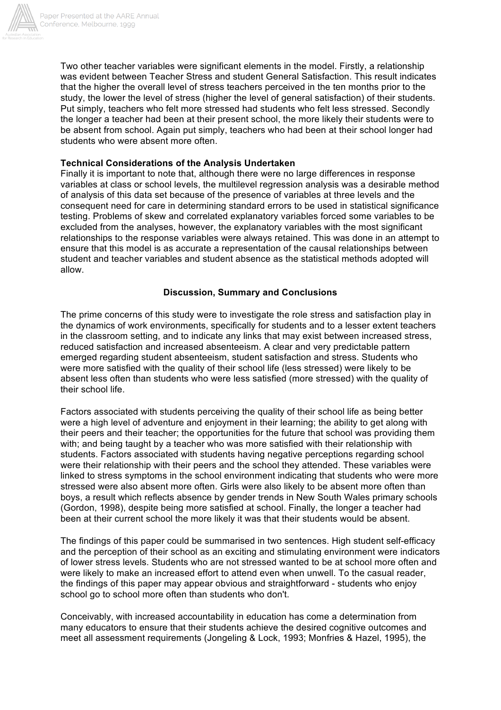

Two other teacher variables were significant elements in the model. Firstly, a relationship was evident between Teacher Stress and student General Satisfaction. This result indicates that the higher the overall level of stress teachers perceived in the ten months prior to the study, the lower the level of stress (higher the level of general satisfaction) of their students. Put simply, teachers who felt more stressed had students who felt less stressed. Secondly the longer a teacher had been at their present school, the more likely their students were to be absent from school. Again put simply, teachers who had been at their school longer had students who were absent more often.

## **Technical Considerations of the Analysis Undertaken**

Finally it is important to note that, although there were no large differences in response variables at class or school levels, the multilevel regression analysis was a desirable method of analysis of this data set because of the presence of variables at three levels and the consequent need for care in determining standard errors to be used in statistical significance testing. Problems of skew and correlated explanatory variables forced some variables to be excluded from the analyses, however, the explanatory variables with the most significant relationships to the response variables were always retained. This was done in an attempt to ensure that this model is as accurate a representation of the causal relationships between student and teacher variables and student absence as the statistical methods adopted will allow.

## **Discussion, Summary and Conclusions**

The prime concerns of this study were to investigate the role stress and satisfaction play in the dynamics of work environments, specifically for students and to a lesser extent teachers in the classroom setting, and to indicate any links that may exist between increased stress, reduced satisfaction and increased absenteeism. A clear and very predictable pattern emerged regarding student absenteeism, student satisfaction and stress. Students who were more satisfied with the quality of their school life (less stressed) were likely to be absent less often than students who were less satisfied (more stressed) with the quality of their school life.

Factors associated with students perceiving the quality of their school life as being better were a high level of adventure and enjoyment in their learning; the ability to get along with their peers and their teacher; the opportunities for the future that school was providing them with; and being taught by a teacher who was more satisfied with their relationship with students. Factors associated with students having negative perceptions regarding school were their relationship with their peers and the school they attended. These variables were linked to stress symptoms in the school environment indicating that students who were more stressed were also absent more often. Girls were also likely to be absent more often than boys, a result which reflects absence by gender trends in New South Wales primary schools (Gordon, 1998), despite being more satisfied at school. Finally, the longer a teacher had been at their current school the more likely it was that their students would be absent.

The findings of this paper could be summarised in two sentences. High student self-efficacy and the perception of their school as an exciting and stimulating environment were indicators of lower stress levels. Students who are not stressed wanted to be at school more often and were likely to make an increased effort to attend even when unwell. To the casual reader, the findings of this paper may appear obvious and straightforward - students who enjoy school go to school more often than students who don't.

Conceivably, with increased accountability in education has come a determination from many educators to ensure that their students achieve the desired cognitive outcomes and meet all assessment requirements (Jongeling & Lock, 1993; Monfries & Hazel, 1995), the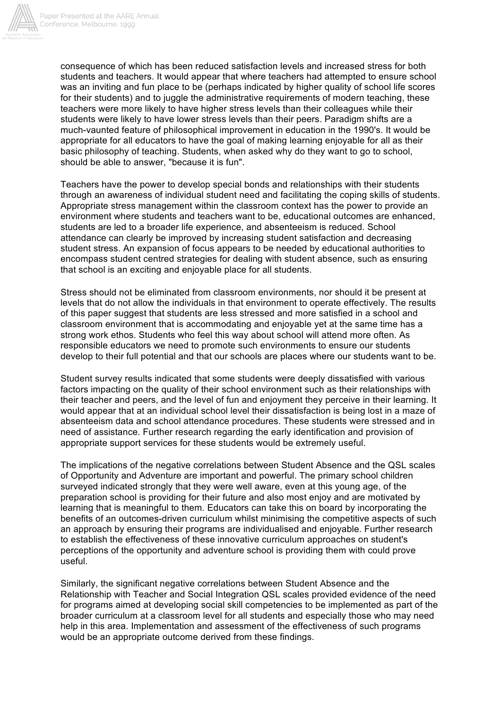

consequence of which has been reduced satisfaction levels and increased stress for both students and teachers. It would appear that where teachers had attempted to ensure school was an inviting and fun place to be (perhaps indicated by higher quality of school life scores for their students) and to juggle the administrative requirements of modern teaching, these teachers were more likely to have higher stress levels than their colleagues while their students were likely to have lower stress levels than their peers. Paradigm shifts are a much-vaunted feature of philosophical improvement in education in the 1990's. It would be appropriate for all educators to have the goal of making learning enjoyable for all as their basic philosophy of teaching. Students, when asked why do they want to go to school, should be able to answer, "because it is fun".

Teachers have the power to develop special bonds and relationships with their students through an awareness of individual student need and facilitating the coping skills of students. Appropriate stress management within the classroom context has the power to provide an environment where students and teachers want to be, educational outcomes are enhanced, students are led to a broader life experience, and absenteeism is reduced. School attendance can clearly be improved by increasing student satisfaction and decreasing student stress. An expansion of focus appears to be needed by educational authorities to encompass student centred strategies for dealing with student absence, such as ensuring that school is an exciting and enjoyable place for all students.

Stress should not be eliminated from classroom environments, nor should it be present at levels that do not allow the individuals in that environment to operate effectively. The results of this paper suggest that students are less stressed and more satisfied in a school and classroom environment that is accommodating and enjoyable yet at the same time has a strong work ethos. Students who feel this way about school will attend more often. As responsible educators we need to promote such environments to ensure our students develop to their full potential and that our schools are places where our students want to be.

Student survey results indicated that some students were deeply dissatisfied with various factors impacting on the quality of their school environment such as their relationships with their teacher and peers, and the level of fun and enjoyment they perceive in their learning. It would appear that at an individual school level their dissatisfaction is being lost in a maze of absenteeism data and school attendance procedures. These students were stressed and in need of assistance. Further research regarding the early identification and provision of appropriate support services for these students would be extremely useful.

The implications of the negative correlations between Student Absence and the QSL scales of Opportunity and Adventure are important and powerful. The primary school children surveyed indicated strongly that they were well aware, even at this young age, of the preparation school is providing for their future and also most enjoy and are motivated by learning that is meaningful to them. Educators can take this on board by incorporating the benefits of an outcomes-driven curriculum whilst minimising the competitive aspects of such an approach by ensuring their programs are individualised and enjoyable. Further research to establish the effectiveness of these innovative curriculum approaches on student's perceptions of the opportunity and adventure school is providing them with could prove useful.

Similarly, the significant negative correlations between Student Absence and the Relationship with Teacher and Social Integration QSL scales provided evidence of the need for programs aimed at developing social skill competencies to be implemented as part of the broader curriculum at a classroom level for all students and especially those who may need help in this area. Implementation and assessment of the effectiveness of such programs would be an appropriate outcome derived from these findings.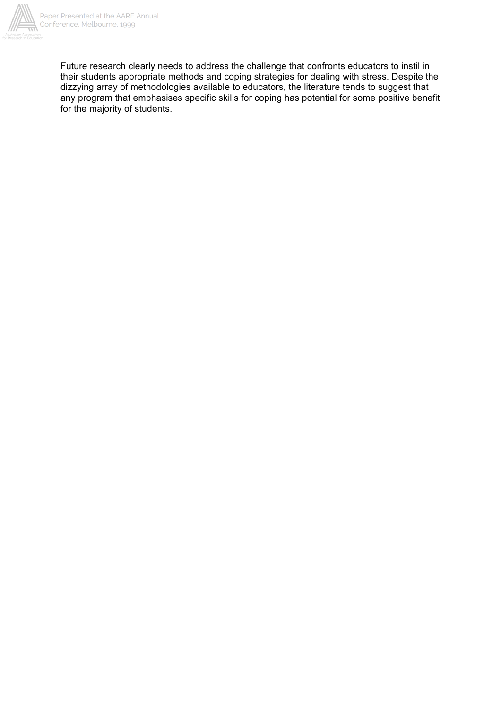

Future research clearly needs to address the challenge that confronts educators to instil in their students appropriate methods and coping strategies for dealing with stress. Despite the dizzying array of methodologies available to educators, the literature tends to suggest that any program that emphasises specific skills for coping has potential for some positive benefit for the majority of students.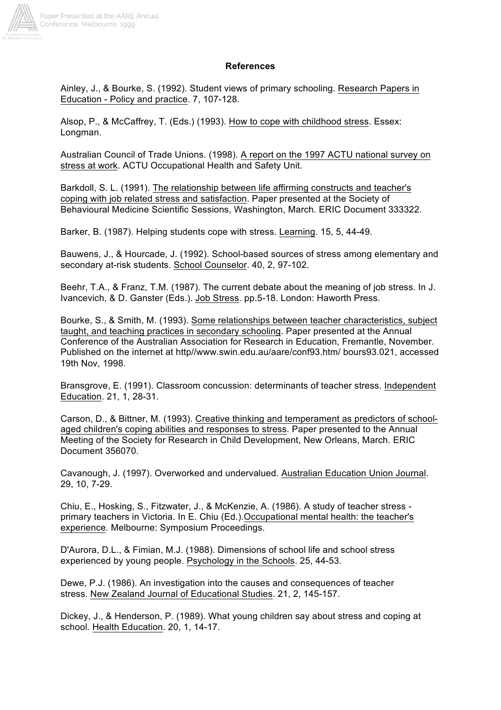

#### **References**

Ainley, J., & Bourke, S. (1992). Student views of primary schooling. Research Papers in Education - Policy and practice. 7, 107-128.

Alsop, P., & McCaffrey, T. (Eds.) (1993). How to cope with childhood stress. Essex: Longman.

Australian Council of Trade Unions. (1998). A report on the 1997 ACTU national survey on stress at work. ACTU Occupational Health and Safety Unit.

Barkdoll, S. L. (1991). The relationship between life affirming constructs and teacher's coping with job related stress and satisfaction. Paper presented at the Society of Behavioural Medicine Scientific Sessions, Washington, March. ERIC Document 333322.

Barker, B. (1987). Helping students cope with stress. Learning. 15, 5, 44-49.

Bauwens, J., & Hourcade, J. (1992). School-based sources of stress among elementary and secondary at-risk students. School Counselor. 40, 2, 97-102.

Beehr, T.A., & Franz, T.M. (1987). The current debate about the meaning of job stress. In J. Ivancevich, & D. Ganster (Eds.). Job Stress. pp.5-18. London: Haworth Press.

Bourke, S., & Smith, M. (1993). Some relationships between teacher characteristics, subject taught, and teaching practices in secondary schooling. Paper presented at the Annual Conference of the Australian Association for Research in Education, Fremantle, November. Published on the internet at http//www.swin.edu.au/aare/conf93.htm/ bours93.021, accessed 19th Nov, 1998.

Bransgrove, E. (1991). Classroom concussion: determinants of teacher stress. Independent Education. 21, 1, 28-31.

Carson, D., & Bittner, M. (1993). Creative thinking and temperament as predictors of schoolaged children's coping abilities and responses to stress. Paper presented to the Annual Meeting of the Society for Research in Child Development, New Orleans, March. ERIC Document 356070.

Cavanough, J. (1997). Overworked and undervalued. Australian Education Union Journal. 29, 10, 7-29.

Chiu, E., Hosking, S., Fitzwater, J., & McKenzie, A. (1986). A study of teacher stress primary teachers in Victoria. In E. Chiu (Ed.).Occupational mental health: the teacher's experience. Melbourne: Symposium Proceedings.

D'Aurora, D.L., & Fimian, M.J. (1988). Dimensions of school life and school stress experienced by young people. Psychology in the Schools. 25, 44-53.

Dewe, P.J. (1986). An investigation into the causes and consequences of teacher stress. New Zealand Journal of Educational Studies. 21, 2, 145-157.

Dickey, J., & Henderson, P. (1989). What young children say about stress and coping at school. Health Education. 20, 1, 14-17.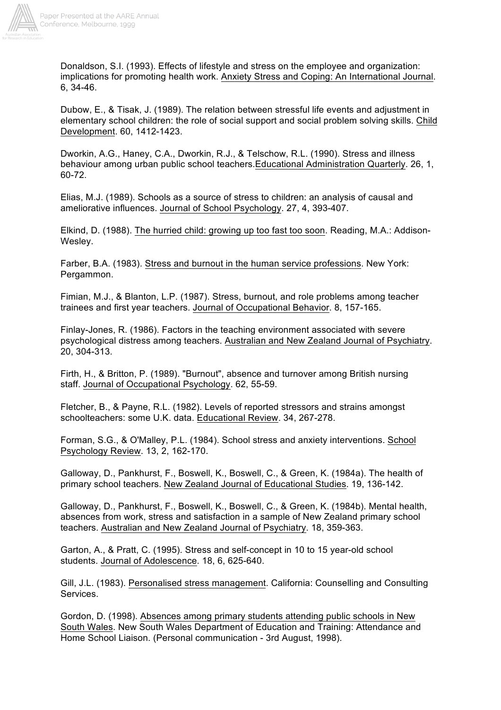

Donaldson, S.I. (1993). Effects of lifestyle and stress on the employee and organization: implications for promoting health work. Anxiety Stress and Coping: An International Journal. 6, 34-46.

Dubow, E., & Tisak, J. (1989). The relation between stressful life events and adjustment in elementary school children: the role of social support and social problem solving skills. Child Development. 60, 1412-1423.

Dworkin, A.G., Haney, C.A., Dworkin, R.J., & Telschow, R.L. (1990). Stress and illness behaviour among urban public school teachers.Educational Administration Quarterly. 26, 1, 60-72.

Elias, M.J. (1989). Schools as a source of stress to children: an analysis of causal and ameliorative influences. Journal of School Psychology. 27, 4, 393-407.

Elkind, D. (1988). The hurried child: growing up too fast too soon. Reading, M.A.: Addison-Wesley.

Farber, B.A. (1983). Stress and burnout in the human service professions. New York: Pergammon.

Fimian, M.J., & Blanton, L.P. (1987). Stress, burnout, and role problems among teacher trainees and first year teachers. Journal of Occupational Behavior. 8, 157-165.

Finlay-Jones, R. (1986). Factors in the teaching environment associated with severe psychological distress among teachers. Australian and New Zealand Journal of Psychiatry. 20, 304-313.

Firth, H., & Britton, P. (1989). "Burnout", absence and turnover among British nursing staff. Journal of Occupational Psychology. 62, 55-59.

Fletcher, B., & Payne, R.L. (1982). Levels of reported stressors and strains amongst schoolteachers: some U.K. data. Educational Review. 34, 267-278.

Forman, S.G., & O'Malley, P.L. (1984). School stress and anxiety interventions. School Psychology Review. 13, 2, 162-170.

Galloway, D., Pankhurst, F., Boswell, K., Boswell, C., & Green, K. (1984a). The health of primary school teachers. New Zealand Journal of Educational Studies. 19, 136-142.

Galloway, D., Pankhurst, F., Boswell, K., Boswell, C., & Green, K. (1984b). Mental health, absences from work, stress and satisfaction in a sample of New Zealand primary school teachers. Australian and New Zealand Journal of Psychiatry. 18, 359-363.

Garton, A., & Pratt, C. (1995). Stress and self-concept in 10 to 15 year-old school students. Journal of Adolescence. 18, 6, 625-640.

Gill, J.L. (1983). Personalised stress management. California: Counselling and Consulting Services.

Gordon, D. (1998). Absences among primary students attending public schools in New South Wales. New South Wales Department of Education and Training: Attendance and Home School Liaison. (Personal communication - 3rd August, 1998).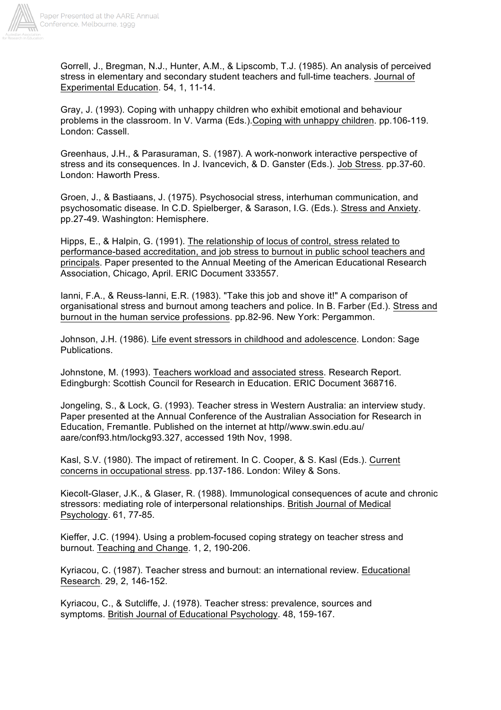

Gorrell, J., Bregman, N.J., Hunter, A.M., & Lipscomb, T.J. (1985). An analysis of perceived stress in elementary and secondary student teachers and full-time teachers. Journal of Experimental Education. 54, 1, 11-14.

Gray, J. (1993). Coping with unhappy children who exhibit emotional and behaviour problems in the classroom. In V. Varma (Eds.).Coping with unhappy children. pp.106-119. London: Cassell.

Greenhaus, J.H., & Parasuraman, S. (1987). A work-nonwork interactive perspective of stress and its consequences. In J. Ivancevich, & D. Ganster (Eds.). Job Stress. pp.37-60. London: Haworth Press.

Groen, J., & Bastiaans, J. (1975). Psychosocial stress, interhuman communication, and psychosomatic disease. In C.D. Spielberger, & Sarason, I.G. (Eds.). Stress and Anxiety. pp.27-49. Washington: Hemisphere.

Hipps, E., & Halpin, G. (1991). The relationship of locus of control, stress related to performance-based accreditation, and job stress to burnout in public school teachers and principals. Paper presented to the Annual Meeting of the American Educational Research Association, Chicago, April. ERIC Document 333557.

Ianni, F.A., & Reuss-Ianni, E.R. (1983). "Take this job and shove it!" A comparison of organisational stress and burnout among teachers and police. In B. Farber (Ed.). Stress and burnout in the human service professions. pp.82-96. New York: Pergammon.

Johnson, J.H. (1986). Life event stressors in childhood and adolescence. London: Sage Publications.

Johnstone, M. (1993). Teachers workload and associated stress. Research Report. Edingburgh: Scottish Council for Research in Education. ERIC Document 368716.

Jongeling, S., & Lock, G. (1993). Teacher stress in Western Australia: an interview study. Paper presented at the Annual Conference of the Australian Association for Research in Education, Fremantle. Published on the internet at http//www.swin.edu.au/ aare/conf93.htm/lockg93.327, accessed 19th Nov, 1998.

Kasl, S.V. (1980). The impact of retirement. In C. Cooper, & S. Kasl (Eds.). Current concerns in occupational stress. pp.137-186. London: Wiley & Sons.

Kiecolt-Glaser, J.K., & Glaser, R. (1988). Immunological consequences of acute and chronic stressors: mediating role of interpersonal relationships. British Journal of Medical Psychology. 61, 77-85.

Kieffer, J.C. (1994). Using a problem-focused coping strategy on teacher stress and burnout. Teaching and Change. 1, 2, 190-206.

Kyriacou, C. (1987). Teacher stress and burnout: an international review. Educational Research. 29, 2, 146-152.

Kyriacou, C., & Sutcliffe, J. (1978). Teacher stress: prevalence, sources and symptoms. British Journal of Educational Psychology. 48, 159-167.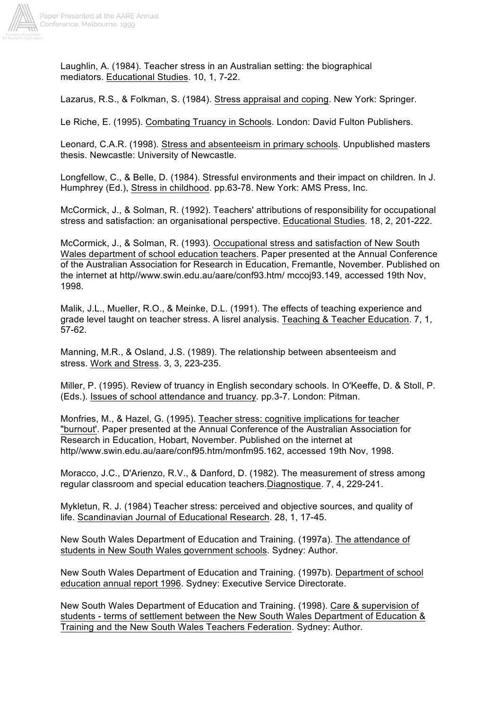

Laughlin, A. (1984). Teacher stress in an Australian setting: the biographical mediators. Educational Studies. 10, 1, 7-22.

Lazarus, R.S., & Folkman, S. (1984). Stress appraisal and coping. New York: Springer.

Le Riche, E. (1995). Combating Truancy in Schools. London: David Fulton Publishers.

Leonard, C.A.R. (1998). Stress and absenteeism in primary schools. Unpublished masters thesis. Newcastle: University of Newcastle.

Longfellow, C., & Belle, D. (1984). Stressful environments and their impact on children. In J. Humphrey (Ed.), Stress in childhood. pp.63-78. New York: AMS Press, Inc.

McCormick, J., & Solman, R. (1992). Teachers' attributions of responsibility for occupational stress and satisfaction: an organisational perspective. Educational Studies. 18, 2, 201-222.

McCormick, J., & Solman, R. (1993). Occupational stress and satisfaction of New South Wales department of school education teachers. Paper presented at the Annual Conference of the Australian Association for Research in Education, Fremantle, November. Published on the internet at http//www.swin.edu.au/aare/conf93.htm/ mccoj93.149, accessed 19th Nov, 1998.

Malik, J.L., Mueller, R.O., & Meinke, D.L. (1991). The effects of teaching experience and grade level taught on teacher stress. A lisrel analysis. Teaching & Teacher Education. 7, 1, 57-62.

Manning, M.R., & Osland, J.S. (1989). The relationship between absenteeism and stress. Work and Stress. 3, 3, 223-235.

Miller, P. (1995). Review of truancy in English secondary schools. In O'Keeffe, D. & Stoll, P. (Eds.). Issues of school attendance and truancy. pp.3-7. London: Pitman.

Monfries, M., & Hazel, G. (1995). Teacher stress: cognitive implications for teacher "burnout'. Paper presented at the Annual Conference of the Australian Association for Research in Education, Hobart, November. Published on the internet at http//www.swin.edu.au/aare/conf95.htm/monfm95.162, accessed 19th Nov, 1998.

Moracco, J.C., D'Arienzo, R.V., & Danford, D. (1982). The measurement of stress among regular classroom and special education teachers.Diagnostique. 7, 4, 229-241.

Mykletun, R. J. (1984) Teacher stress: perceived and objective sources, and quality of life. Scandinavian Journal of Educational Research. 28, 1, 17-45.

New South Wales Department of Education and Training. (1997a). The attendance of students in New South Wales government schools. Sydney: Author.

New South Wales Department of Education and Training. (1997b). Department of school education annual report 1996. Sydney: Executive Service Directorate.

New South Wales Department of Education and Training. (1998). Care & supervision of students - terms of settlement between the New South Wales Department of Education & Training and the New South Wales Teachers Federation. Sydney: Author.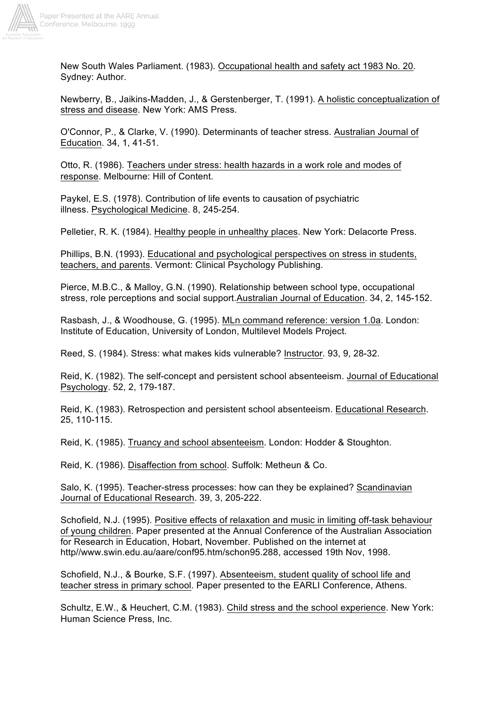

New South Wales Parliament. (1983). Occupational health and safety act 1983 No. 20. Sydney: Author.

Newberry, B., Jaikins-Madden, J., & Gerstenberger, T. (1991). A holistic conceptualization of stress and disease. New York: AMS Press.

O'Connor, P., & Clarke, V. (1990). Determinants of teacher stress. Australian Journal of Education. 34, 1, 41-51.

Otto, R. (1986). Teachers under stress: health hazards in a work role and modes of response. Melbourne: Hill of Content.

Paykel, E.S. (1978). Contribution of life events to causation of psychiatric illness. Psychological Medicine. 8, 245-254.

Pelletier, R. K. (1984). Healthy people in unhealthy places. New York: Delacorte Press.

Phillips, B.N. (1993). Educational and psychological perspectives on stress in students, teachers, and parents. Vermont: Clinical Psychology Publishing.

Pierce, M.B.C., & Malloy, G.N. (1990). Relationship between school type, occupational stress, role perceptions and social support.Australian Journal of Education. 34, 2, 145-152.

Rasbash, J., & Woodhouse, G. (1995). MLn command reference: version 1.0a. London: Institute of Education, University of London, Multilevel Models Project.

Reed, S. (1984). Stress: what makes kids vulnerable? Instructor. 93, 9, 28-32.

Reid, K. (1982). The self-concept and persistent school absenteeism. Journal of Educational Psychology. 52, 2, 179-187.

Reid, K. (1983). Retrospection and persistent school absenteeism. Educational Research. 25, 110-115.

Reid, K. (1985). Truancy and school absenteeism. London: Hodder & Stoughton.

Reid, K. (1986). Disaffection from school. Suffolk: Metheun & Co.

Salo, K. (1995). Teacher-stress processes: how can they be explained? Scandinavian Journal of Educational Research. 39, 3, 205-222.

Schofield, N.J. (1995). Positive effects of relaxation and music in limiting off-task behaviour of young children. Paper presented at the Annual Conference of the Australian Association for Research in Education, Hobart, November. Published on the internet at http//www.swin.edu.au/aare/conf95.htm/schon95.288, accessed 19th Nov, 1998.

Schofield, N.J., & Bourke, S.F. (1997). Absenteeism, student quality of school life and teacher stress in primary school. Paper presented to the EARLI Conference, Athens.

Schultz, E.W., & Heuchert, C.M. (1983). Child stress and the school experience. New York: Human Science Press, Inc.